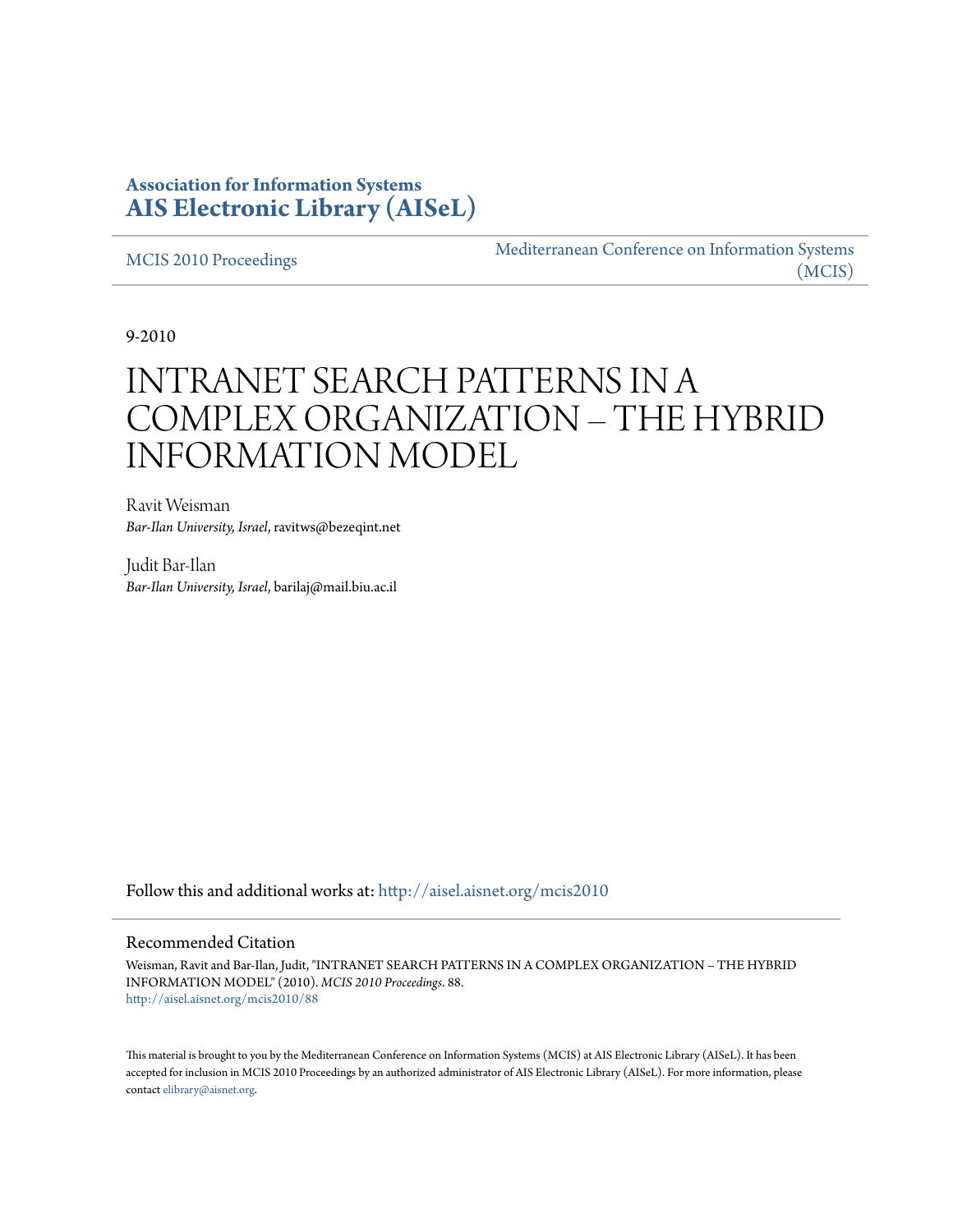# **Association for Information Systems [AIS Electronic Library \(AISeL\)](http://aisel.aisnet.org?utm_source=aisel.aisnet.org%2Fmcis2010%2F88&utm_medium=PDF&utm_campaign=PDFCoverPages)**

[MCIS 2010 Proceedings](http://aisel.aisnet.org/mcis2010?utm_source=aisel.aisnet.org%2Fmcis2010%2F88&utm_medium=PDF&utm_campaign=PDFCoverPages)

[Mediterranean Conference on Information Systems](http://aisel.aisnet.org/mcis?utm_source=aisel.aisnet.org%2Fmcis2010%2F88&utm_medium=PDF&utm_campaign=PDFCoverPages) [\(MCIS\)](http://aisel.aisnet.org/mcis?utm_source=aisel.aisnet.org%2Fmcis2010%2F88&utm_medium=PDF&utm_campaign=PDFCoverPages)

9-2010

# INTRANET SEARCH PATTERNS IN A COMPLEX ORGANIZATION – THE HYBRID INFORMATION MODEL

Ravit Weisman *Bar-Ilan University, Israel*, ravitws@bezeqint.net

Judit Bar-Ilan *Bar-Ilan University, Israel*, barilaj@mail.biu.ac.il

Follow this and additional works at: [http://aisel.aisnet.org/mcis2010](http://aisel.aisnet.org/mcis2010?utm_source=aisel.aisnet.org%2Fmcis2010%2F88&utm_medium=PDF&utm_campaign=PDFCoverPages)

#### Recommended Citation

Weisman, Ravit and Bar-Ilan, Judit, "INTRANET SEARCH PATTERNS IN A COMPLEX ORGANIZATION – THE HYBRID INFORMATION MODEL" (2010). *MCIS 2010 Proceedings*. 88. [http://aisel.aisnet.org/mcis2010/88](http://aisel.aisnet.org/mcis2010/88?utm_source=aisel.aisnet.org%2Fmcis2010%2F88&utm_medium=PDF&utm_campaign=PDFCoverPages)

This material is brought to you by the Mediterranean Conference on Information Systems (MCIS) at AIS Electronic Library (AISeL). It has been accepted for inclusion in MCIS 2010 Proceedings by an authorized administrator of AIS Electronic Library (AISeL). For more information, please contact [elibrary@aisnet.org.](mailto:elibrary@aisnet.org%3E)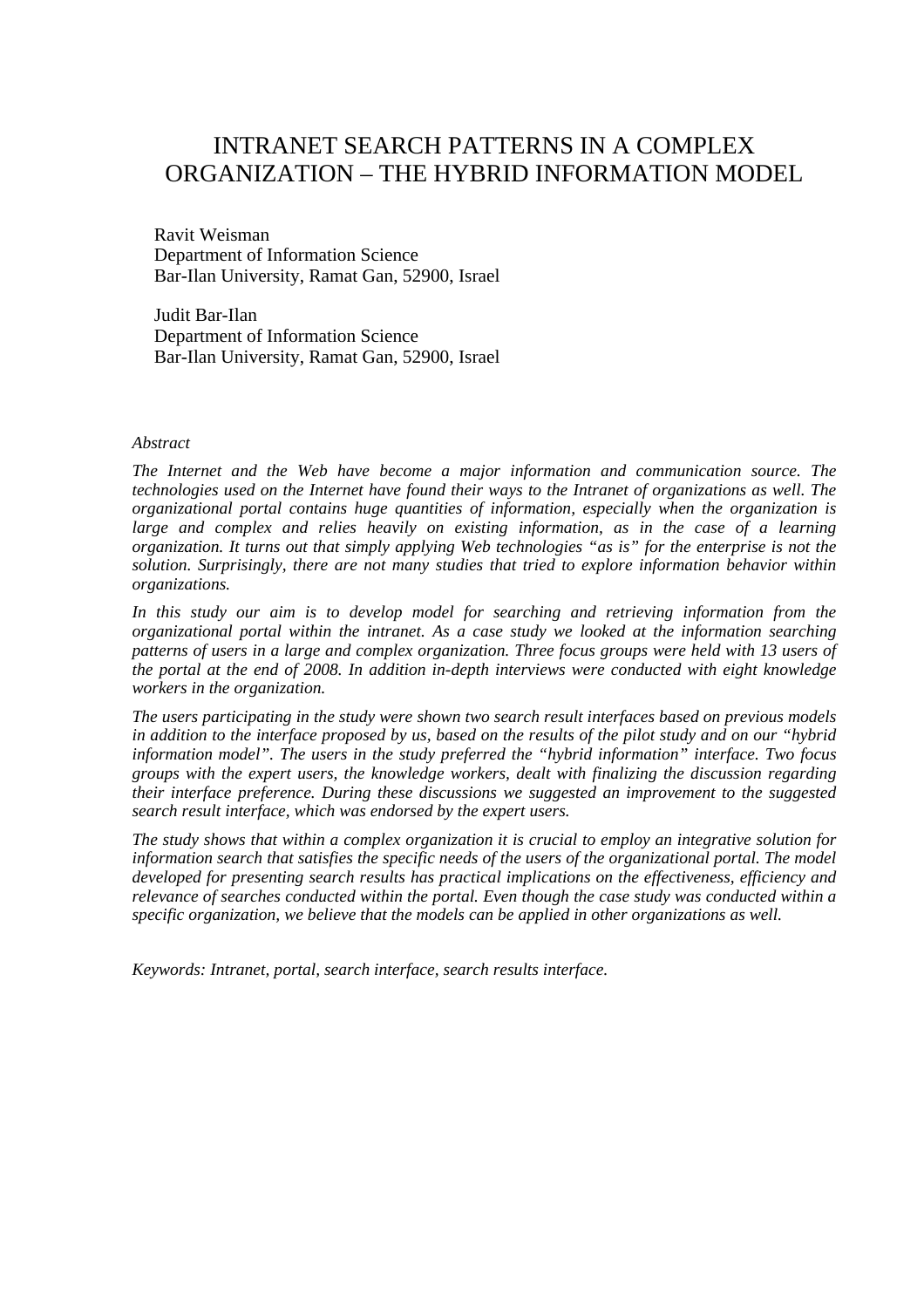# INTRANET SEARCH PATTERNS IN A COMPLEX ORGANIZATION – THE HYBRID INFORMATION MODEL

Ravit Weisman Department of Information Science Bar-Ilan University, Ramat Gan, 52900, Israel

Judit Bar-Ilan Department of Information Science Bar-Ilan University, Ramat Gan, 52900, Israel

#### *Abstract*

*The Internet and the Web have become a major information and communication source. The technologies used on the Internet have found their ways to the Intranet of organizations as well. The organizational portal contains huge quantities of information, especially when the organization is*  large and complex and relies heavily on existing information, as in the case of a learning *organization. It turns out that simply applying Web technologies "as is" for the enterprise is not the solution. Surprisingly, there are not many studies that tried to explore information behavior within organizations.* 

*In this study our aim is to develop model for searching and retrieving information from the organizational portal within the intranet. As a case study we looked at the information searching patterns of users in a large and complex organization. Three focus groups were held with 13 users of the portal at the end of 2008. In addition in-depth interviews were conducted with eight knowledge workers in the organization.* 

*The users participating in the study were shown two search result interfaces based on previous models in addition to the interface proposed by us, based on the results of the pilot study and on our "hybrid information model". The users in the study preferred the "hybrid information" interface. Two focus groups with the expert users, the knowledge workers, dealt with finalizing the discussion regarding their interface preference. During these discussions we suggested an improvement to the suggested search result interface, which was endorsed by the expert users.* 

*The study shows that within a complex organization it is crucial to employ an integrative solution for information search that satisfies the specific needs of the users of the organizational portal. The model developed for presenting search results has practical implications on the effectiveness, efficiency and relevance of searches conducted within the portal. Even though the case study was conducted within a specific organization, we believe that the models can be applied in other organizations as well.* 

*Keywords: Intranet, portal, search interface, search results interface.*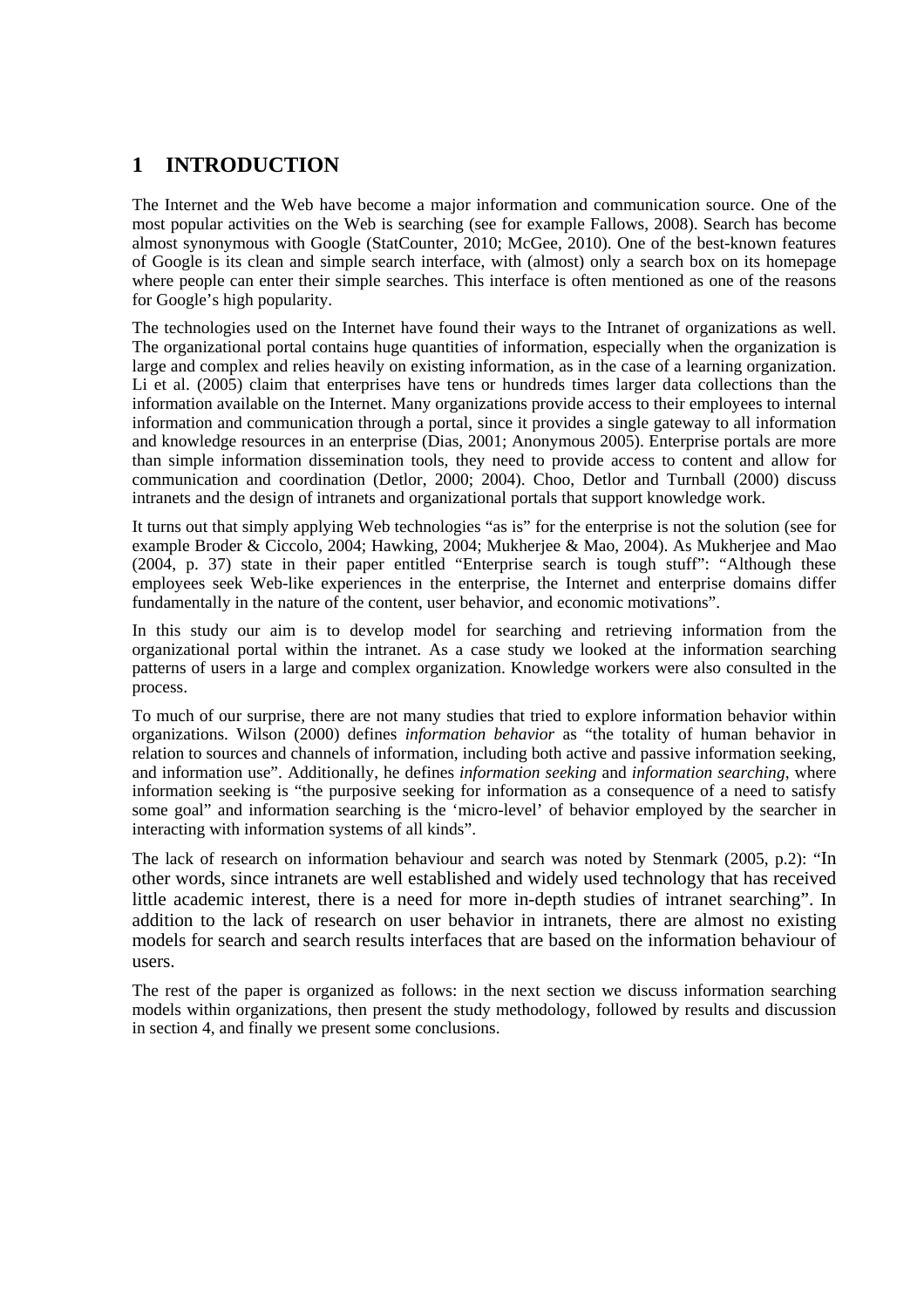# **1 INTRODUCTION**

The Internet and the Web have become a major information and communication source. One of the most popular activities on the Web is searching (see for example Fallows, 2008). Search has become almost synonymous with Google (StatCounter, 2010; McGee, 2010). One of the best-known features of Google is its clean and simple search interface, with (almost) only a search box on its homepage where people can enter their simple searches. This interface is often mentioned as one of the reasons for Google's high popularity.

The technologies used on the Internet have found their ways to the Intranet of organizations as well. The organizational portal contains huge quantities of information, especially when the organization is large and complex and relies heavily on existing information, as in the case of a learning organization. Li et al. (2005) claim that enterprises have tens or hundreds times larger data collections than the information available on the Internet. Many organizations provide access to their employees to internal information and communication through a portal, since it provides a single gateway to all information and knowledge resources in an enterprise (Dias, 2001; Anonymous 2005). Enterprise portals are more than simple information dissemination tools, they need to provide access to content and allow for communication and coordination (Detlor, 2000; 2004). Choo, Detlor and Turnball (2000) discuss intranets and the design of intranets and organizational portals that support knowledge work.

It turns out that simply applying Web technologies "as is" for the enterprise is not the solution (see for example Broder & Ciccolo, 2004; Hawking, 2004; Mukherjee & Mao, 2004). As Mukherjee and Mao (2004, p. 37) state in their paper entitled "Enterprise search is tough stuff": "Although these employees seek Web-like experiences in the enterprise, the Internet and enterprise domains differ fundamentally in the nature of the content, user behavior, and economic motivations".

In this study our aim is to develop model for searching and retrieving information from the organizational portal within the intranet. As a case study we looked at the information searching patterns of users in a large and complex organization. Knowledge workers were also consulted in the process.

To much of our surprise, there are not many studies that tried to explore information behavior within organizations. Wilson (2000) defines *information behavior* as "the totality of human behavior in relation to sources and channels of information, including both active and passive information seeking, and information use". Additionally, he defines *information seeking* and *information searching*, where information seeking is "the purposive seeking for information as a consequence of a need to satisfy some goal" and information searching is the 'micro-level' of behavior employed by the searcher in interacting with information systems of all kinds".

The lack of research on information behaviour and search was noted by Stenmark (2005, p.2): "In other words, since intranets are well established and widely used technology that has received little academic interest, there is a need for more in-depth studies of intranet searching". In addition to the lack of research on user behavior in intranets, there are almost no existing models for search and search results interfaces that are based on the information behaviour of users.

The rest of the paper is organized as follows: in the next section we discuss information searching models within organizations, then present the study methodology, followed by results and discussion in section 4, and finally we present some conclusions.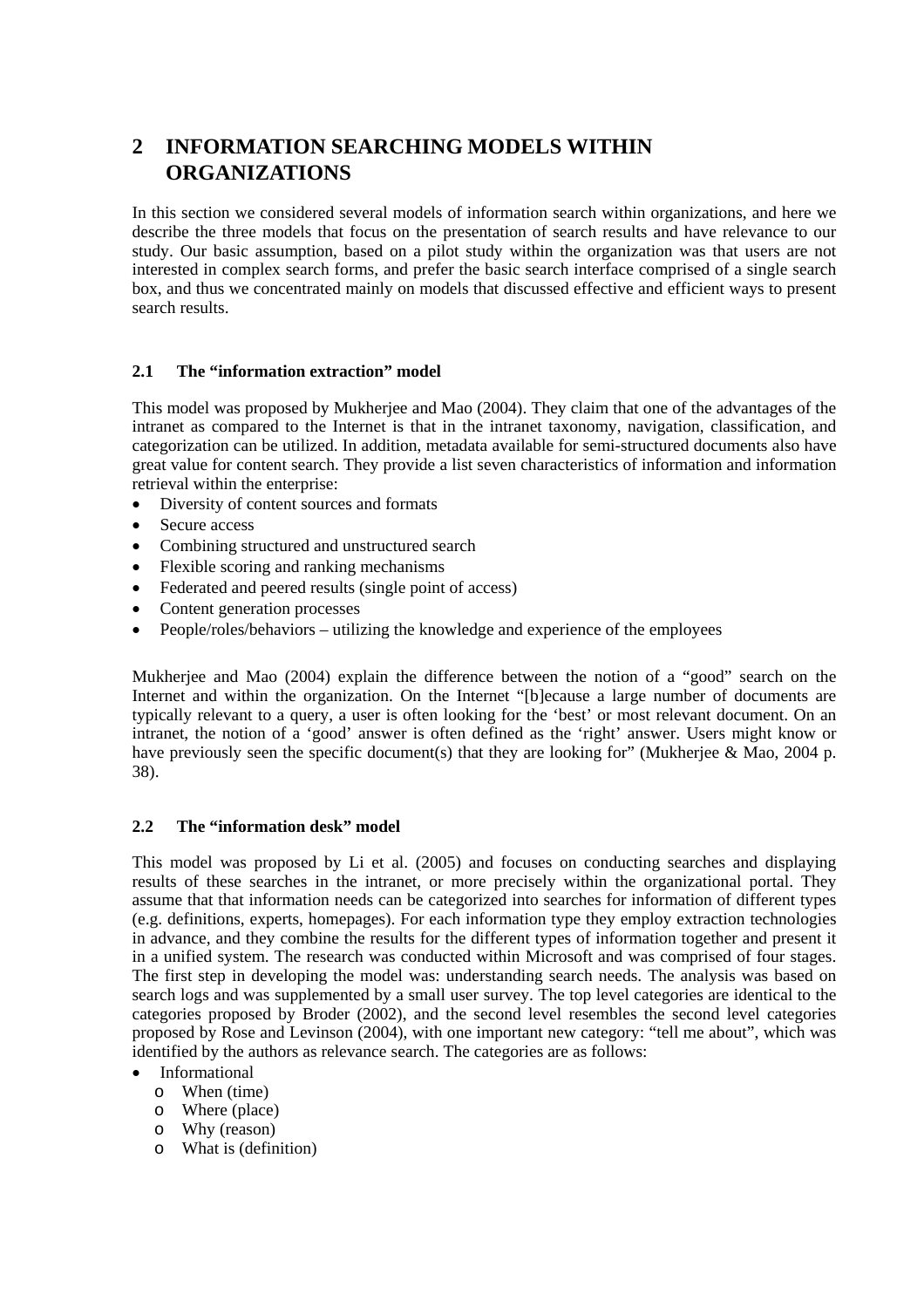# **2 INFORMATION SEARCHING MODELS WITHIN ORGANIZATIONS**

In this section we considered several models of information search within organizations, and here we describe the three models that focus on the presentation of search results and have relevance to our study. Our basic assumption, based on a pilot study within the organization was that users are not interested in complex search forms, and prefer the basic search interface comprised of a single search box, and thus we concentrated mainly on models that discussed effective and efficient ways to present search results.

#### **2.1 The "information extraction" model**

This model was proposed by Mukherjee and Mao (2004). They claim that one of the advantages of the intranet as compared to the Internet is that in the intranet taxonomy, navigation, classification, and categorization can be utilized. In addition, metadata available for semi-structured documents also have great value for content search. They provide a list seven characteristics of information and information retrieval within the enterprise:

- Diversity of content sources and formats
- Secure access
- Combining structured and unstructured search
- Flexible scoring and ranking mechanisms
- Federated and peered results (single point of access)
- Content generation processes
- People/roles/behaviors utilizing the knowledge and experience of the employees

Mukherjee and Mao (2004) explain the difference between the notion of a "good" search on the Internet and within the organization. On the Internet "[b]ecause a large number of documents are typically relevant to a query, a user is often looking for the 'best' or most relevant document. On an intranet, the notion of a 'good' answer is often defined as the 'right' answer. Users might know or have previously seen the specific document(s) that they are looking for" (Mukherjee & Mao, 2004 p. 38).

#### **2.2 The "information desk" model**

This model was proposed by Li et al. (2005) and focuses on conducting searches and displaying results of these searches in the intranet, or more precisely within the organizational portal. They assume that that information needs can be categorized into searches for information of different types (e.g. definitions, experts, homepages). For each information type they employ extraction technologies in advance, and they combine the results for the different types of information together and present it in a unified system. The research was conducted within Microsoft and was comprised of four stages. The first step in developing the model was: understanding search needs. The analysis was based on search logs and was supplemented by a small user survey. The top level categories are identical to the categories proposed by Broder (2002), and the second level resembles the second level categories proposed by Rose and Levinson (2004), with one important new category: "tell me about", which was identified by the authors as relevance search. The categories are as follows:

- **Informational** 
	- o When (time)
	- o Where (place)
	- o Why (reason)
	- o What is (definition)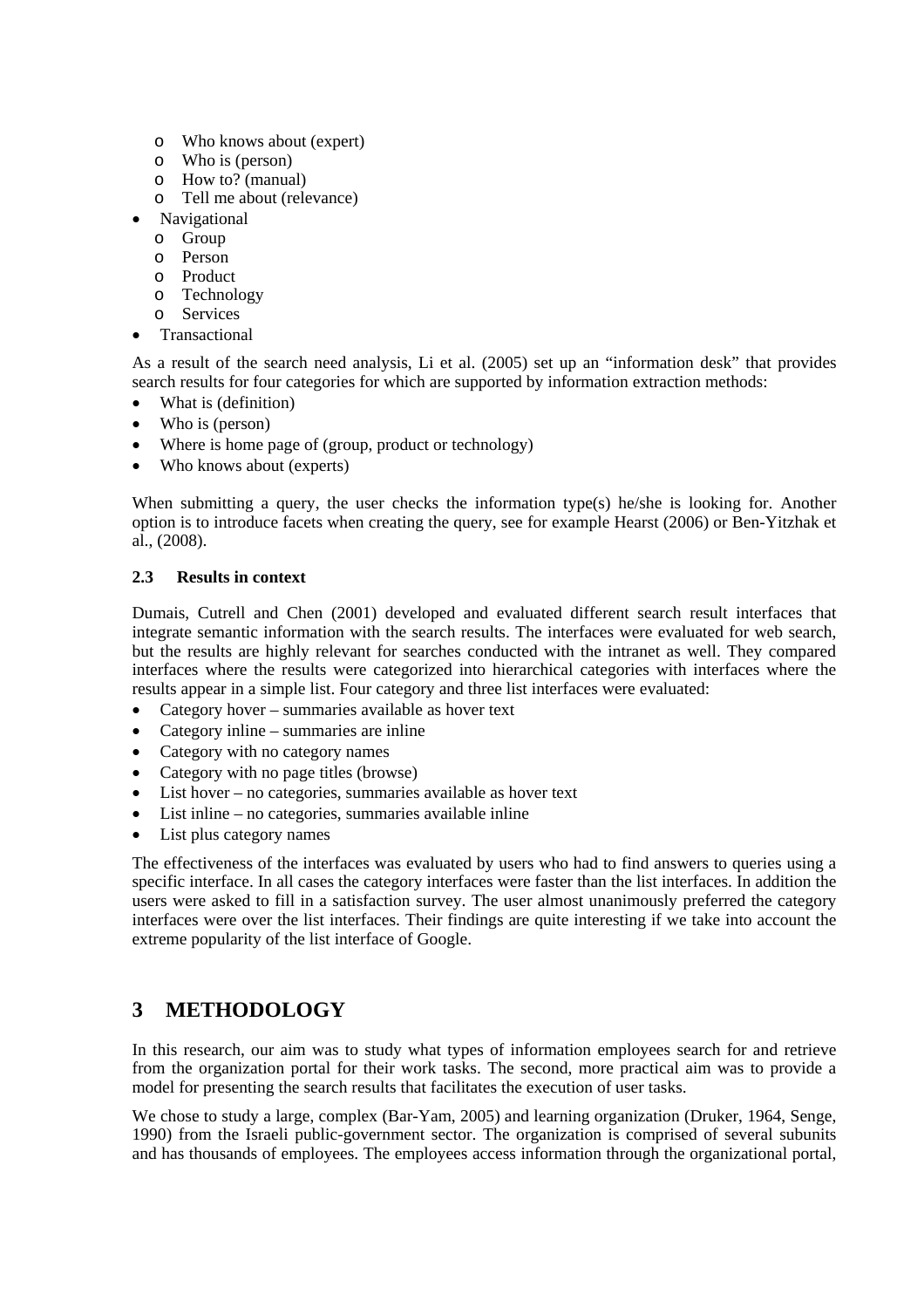- o Who knows about (expert)
- o Who is (person)
- o How to? (manual)
- o Tell me about (relevance)
- Navigational
	- o Group
	- o Person
	- o Product
	- o Technology
	- o Services
- Transactional

As a result of the search need analysis, Li et al. (2005) set up an "information desk" that provides search results for four categories for which are supported by information extraction methods:

- What is (definition)
- Who is (person)
- Where is home page of (group, product or technology)
- Who knows about (experts)

When submitting a query, the user checks the information type(s) he/she is looking for. Another option is to introduce facets when creating the query, see for example Hearst (2006) or Ben-Yitzhak et al., (2008).

#### **2.3 Results in context**

Dumais, Cutrell and Chen (2001) developed and evaluated different search result interfaces that integrate semantic information with the search results. The interfaces were evaluated for web search, but the results are highly relevant for searches conducted with the intranet as well. They compared interfaces where the results were categorized into hierarchical categories with interfaces where the results appear in a simple list. Four category and three list interfaces were evaluated:

- Category hover summaries available as hover text
- Category inline summaries are inline
- Category with no category names
- Category with no page titles (browse)
- List hover no categories, summaries available as hover text
- List inline no categories, summaries available inline
- List plus category names

The effectiveness of the interfaces was evaluated by users who had to find answers to queries using a specific interface. In all cases the category interfaces were faster than the list interfaces. In addition the users were asked to fill in a satisfaction survey. The user almost unanimously preferred the category interfaces were over the list interfaces. Their findings are quite interesting if we take into account the extreme popularity of the list interface of Google.

## **3 METHODOLOGY**

In this research, our aim was to study what types of information employees search for and retrieve from the organization portal for their work tasks. The second, more practical aim was to provide a model for presenting the search results that facilitates the execution of user tasks.

We chose to study a large, complex (Bar-Yam, 2005) and learning organization (Druker, 1964, Senge, 1990) from the Israeli public-government sector. The organization is comprised of several subunits and has thousands of employees. The employees access information through the organizational portal,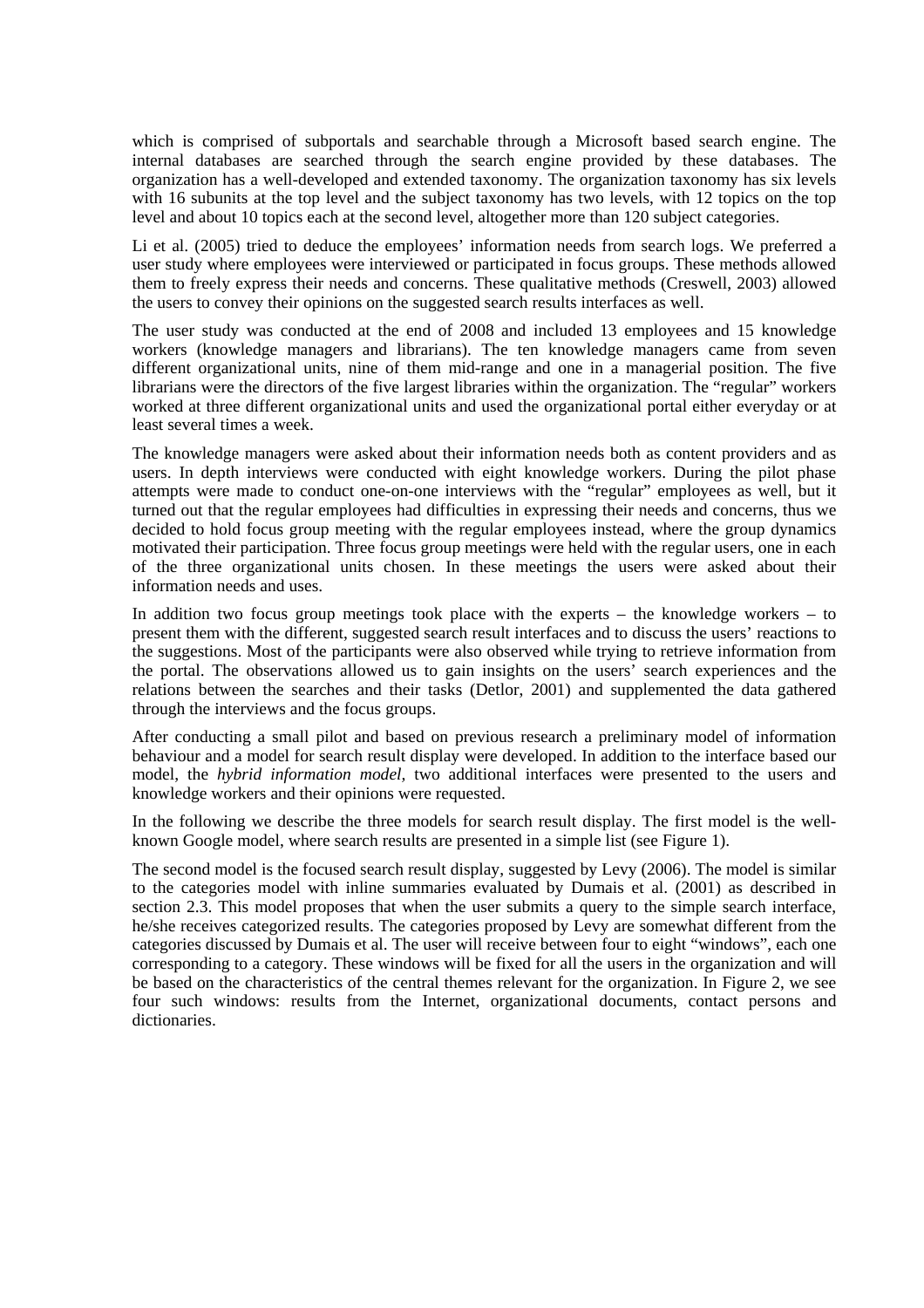which is comprised of subportals and searchable through a Microsoft based search engine. The internal databases are searched through the search engine provided by these databases. The organization has a well-developed and extended taxonomy. The organization taxonomy has six levels with 16 subunits at the top level and the subject taxonomy has two levels, with 12 topics on the top level and about 10 topics each at the second level, altogether more than 120 subject categories.

Li et al. (2005) tried to deduce the employees' information needs from search logs. We preferred a user study where employees were interviewed or participated in focus groups. These methods allowed them to freely express their needs and concerns. These qualitative methods (Creswell, 2003) allowed the users to convey their opinions on the suggested search results interfaces as well.

The user study was conducted at the end of 2008 and included 13 employees and 15 knowledge workers (knowledge managers and librarians). The ten knowledge managers came from seven different organizational units, nine of them mid-range and one in a managerial position. The five librarians were the directors of the five largest libraries within the organization. The "regular" workers worked at three different organizational units and used the organizational portal either everyday or at least several times a week.

The knowledge managers were asked about their information needs both as content providers and as users. In depth interviews were conducted with eight knowledge workers. During the pilot phase attempts were made to conduct one-on-one interviews with the "regular" employees as well, but it turned out that the regular employees had difficulties in expressing their needs and concerns, thus we decided to hold focus group meeting with the regular employees instead, where the group dynamics motivated their participation. Three focus group meetings were held with the regular users, one in each of the three organizational units chosen. In these meetings the users were asked about their information needs and uses.

In addition two focus group meetings took place with the experts – the knowledge workers – to present them with the different, suggested search result interfaces and to discuss the users' reactions to the suggestions. Most of the participants were also observed while trying to retrieve information from the portal. The observations allowed us to gain insights on the users' search experiences and the relations between the searches and their tasks (Detlor, 2001) and supplemented the data gathered through the interviews and the focus groups.

After conducting a small pilot and based on previous research a preliminary model of information behaviour and a model for search result display were developed. In addition to the interface based our model, the *hybrid information model,* two additional interfaces were presented to the users and knowledge workers and their opinions were requested.

In the following we describe the three models for search result display. The first model is the wellknown Google model, where search results are presented in a simple list (see Figure 1).

The second model is the focused search result display, suggested by Levy (2006). The model is similar to the categories model with inline summaries evaluated by Dumais et al. (2001) as described in section 2.3. This model proposes that when the user submits a query to the simple search interface, he/she receives categorized results. The categories proposed by Levy are somewhat different from the categories discussed by Dumais et al. The user will receive between four to eight "windows", each one corresponding to a category. These windows will be fixed for all the users in the organization and will be based on the characteristics of the central themes relevant for the organization. In Figure 2, we see four such windows: results from the Internet, organizational documents, contact persons and dictionaries.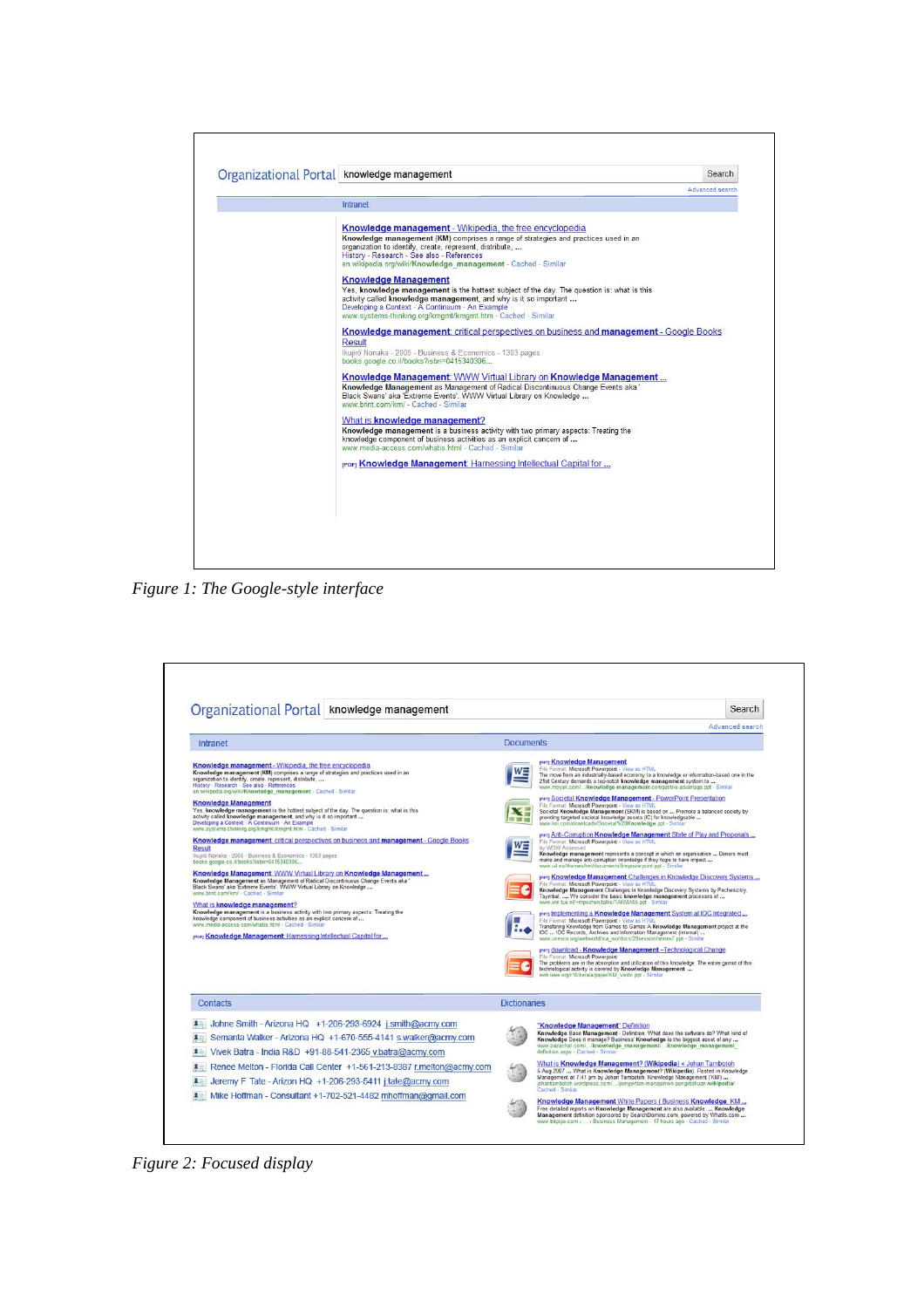

*Figure 1: The Google-style interface* 



*Figure 2: Focused display*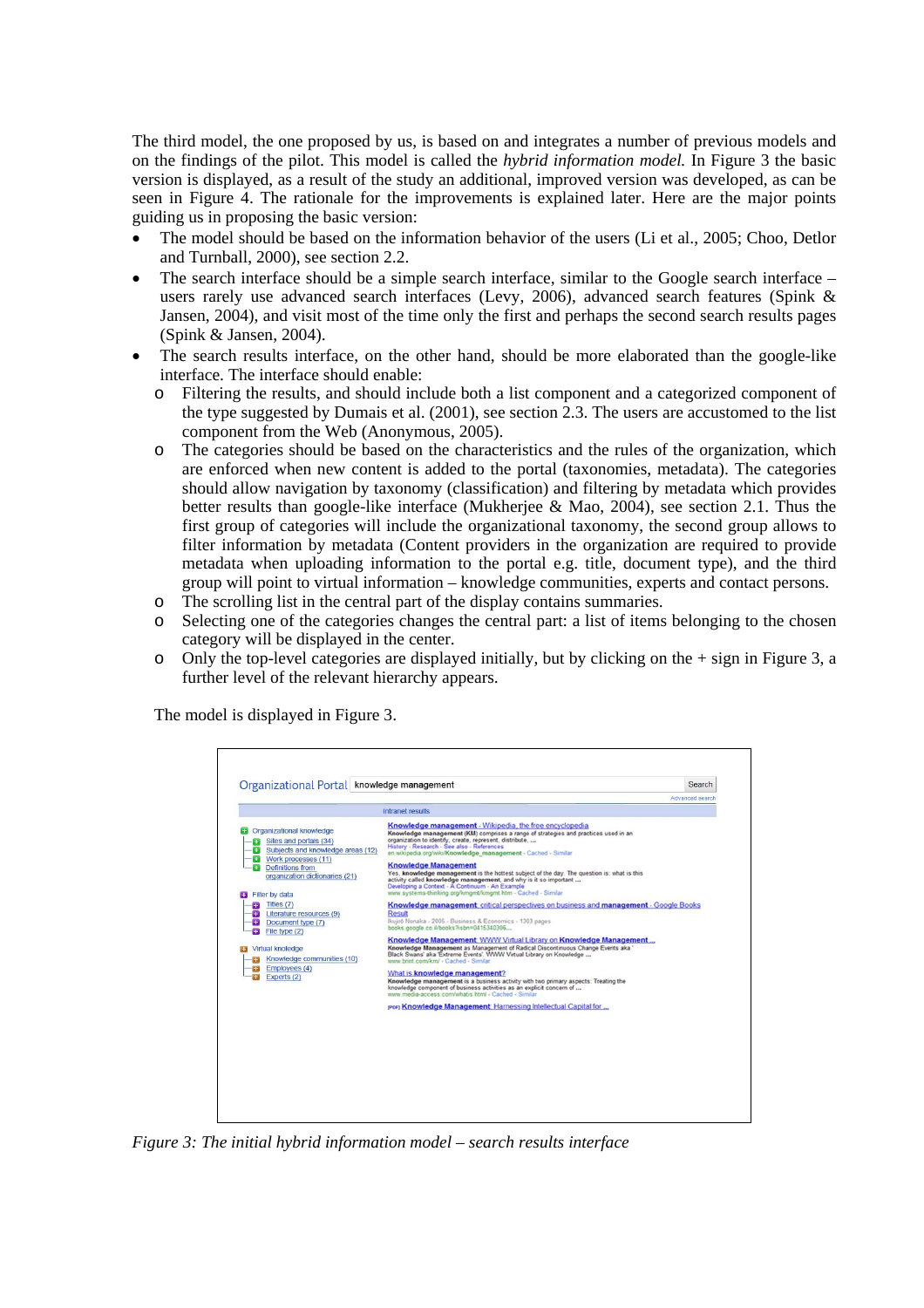The third model, the one proposed by us, is based on and integrates a number of previous models and on the findings of the pilot. This model is called the *hybrid information model.* In Figure 3 the basic version is displayed, as a result of the study an additional, improved version was developed, as can be seen in Figure 4. The rationale for the improvements is explained later. Here are the major points guiding us in proposing the basic version:

- The model should be based on the information behavior of the users (Li et al., 2005; Choo, Detlor and Turnball, 2000), see section 2.2.
- The search interface should be a simple search interface, similar to the Google search interface users rarely use advanced search interfaces (Levy, 2006), advanced search features (Spink & Jansen, 2004), and visit most of the time only the first and perhaps the second search results pages (Spink & Jansen, 2004).
- The search results interface, on the other hand, should be more elaborated than the google-like interface. The interface should enable:
	- o Filtering the results, and should include both a list component and a categorized component of the type suggested by Dumais et al. (2001), see section 2.3. The users are accustomed to the list component from the Web (Anonymous, 2005).
	- o The categories should be based on the characteristics and the rules of the organization, which are enforced when new content is added to the portal (taxonomies, metadata). The categories should allow navigation by taxonomy (classification) and filtering by metadata which provides better results than google-like interface (Mukherjee & Mao, 2004), see section 2.1. Thus the first group of categories will include the organizational taxonomy, the second group allows to filter information by metadata (Content providers in the organization are required to provide metadata when uploading information to the portal e.g. title, document type), and the third group will point to virtual information – knowledge communities, experts and contact persons.
	- o The scrolling list in the central part of the display contains summaries.
	- o Selecting one of the categories changes the central part: a list of items belonging to the chosen category will be displayed in the center.
	- o Only the top-level categories are displayed initially, but by clicking on the + sign in Figure 3, a further level of the relevant hierarchy appears.

The model is displayed in Figure 3.



*Figure 3: The initial hybrid information model – search results interface*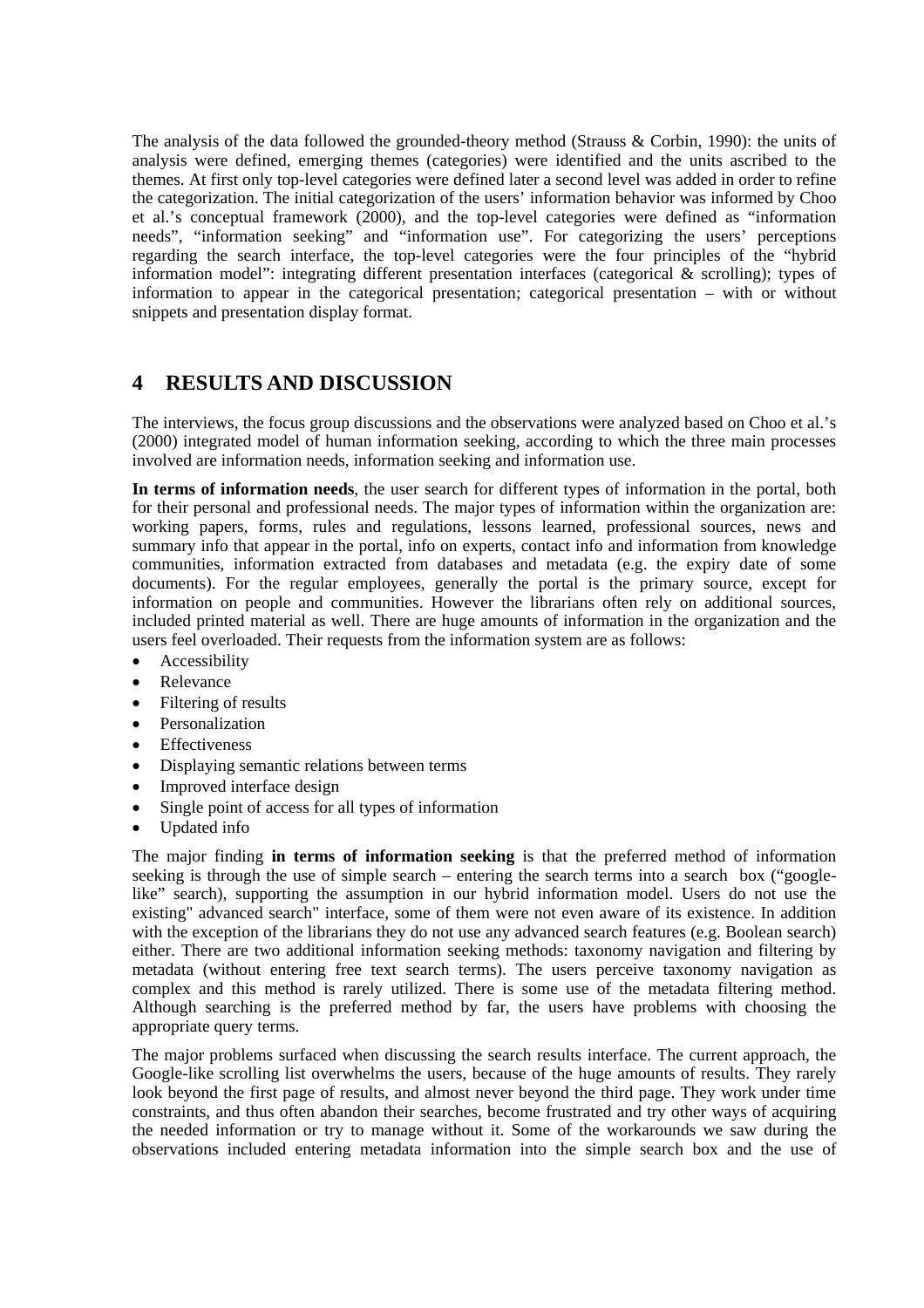The analysis of the data followed the grounded-theory method (Strauss & Corbin, 1990): the units of analysis were defined, emerging themes (categories) were identified and the units ascribed to the themes. At first only top-level categories were defined later a second level was added in order to refine the categorization. The initial categorization of the users' information behavior was informed by Choo et al.'s conceptual framework (2000), and the top-level categories were defined as "information needs", "information seeking" and "information use". For categorizing the users' perceptions regarding the search interface, the top-level categories were the four principles of the "hybrid information model": integrating different presentation interfaces (categorical & scrolling); types of information to appear in the categorical presentation; categorical presentation – with or without snippets and presentation display format.

## **4 RESULTS AND DISCUSSION**

The interviews, the focus group discussions and the observations were analyzed based on Choo et al.'s (2000) integrated model of human information seeking, according to which the three main processes involved are information needs, information seeking and information use.

**In terms of information needs**, the user search for different types of information in the portal, both for their personal and professional needs. The major types of information within the organization are: working papers, forms, rules and regulations, lessons learned, professional sources, news and summary info that appear in the portal, info on experts, contact info and information from knowledge communities, information extracted from databases and metadata (e.g. the expiry date of some documents). For the regular employees, generally the portal is the primary source, except for information on people and communities. However the librarians often rely on additional sources, included printed material as well. There are huge amounts of information in the organization and the users feel overloaded. Their requests from the information system are as follows:

- Accessibility
- Relevance
- Filtering of results
- **Personalization**
- **Effectiveness**
- Displaying semantic relations between terms
- Improved interface design
- Single point of access for all types of information
- Updated info

The major finding **in terms of information seeking** is that the preferred method of information seeking is through the use of simple search – entering the search terms into a search box ("googlelike" search), supporting the assumption in our hybrid information model. Users do not use the existing" advanced search" interface, some of them were not even aware of its existence. In addition with the exception of the librarians they do not use any advanced search features (e.g. Boolean search) either. There are two additional information seeking methods: taxonomy navigation and filtering by metadata (without entering free text search terms). The users perceive taxonomy navigation as complex and this method is rarely utilized. There is some use of the metadata filtering method. Although searching is the preferred method by far, the users have problems with choosing the appropriate query terms.

The major problems surfaced when discussing the search results interface. The current approach, the Google-like scrolling list overwhelms the users, because of the huge amounts of results. They rarely look beyond the first page of results, and almost never beyond the third page. They work under time constraints, and thus often abandon their searches, become frustrated and try other ways of acquiring the needed information or try to manage without it. Some of the workarounds we saw during the observations included entering metadata information into the simple search box and the use of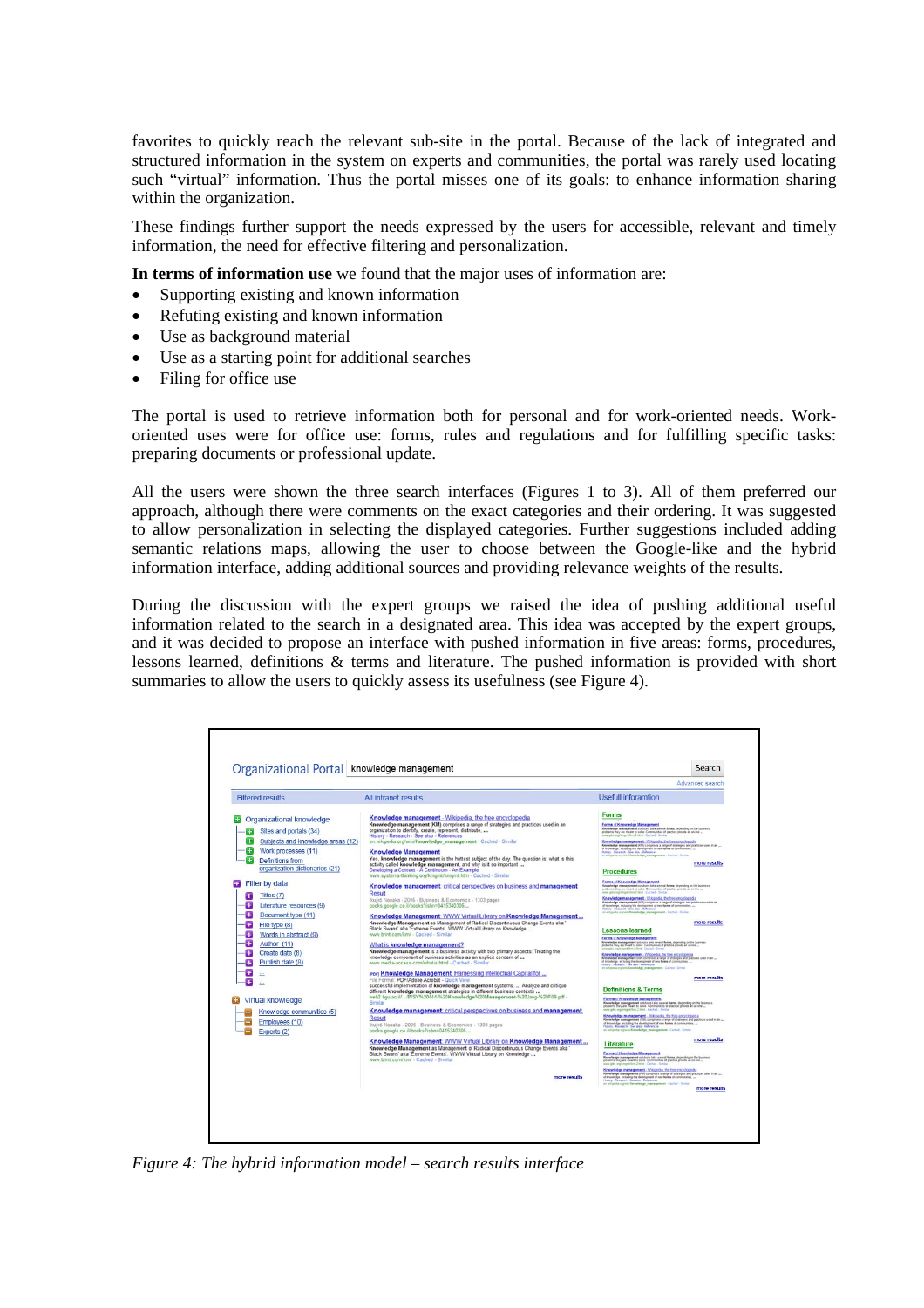favorites to quickly reach the relevant sub-site in the portal. Because of the lack of integrated and structured information in the system on experts and communities, the portal was rarely used locating such "virtual" information. Thus the portal misses one of its goals: to enhance information sharing within the organization.

These findings further support the needs expressed by the users for accessible, relevant and timely information, the need for effective filtering and personalization.

**In terms of information use** we found that the major uses of information are:

- Supporting existing and known information
- Refuting existing and known information
- Use as background material
- Use as a starting point for additional searches
- Filing for office use

The portal is used to retrieve information both for personal and for work-oriented needs. Workoriented uses were for office use: forms, rules and regulations and for fulfilling specific tasks: preparing documents or professional update.

All the users were shown the three search interfaces (Figures 1 to 3). All of them preferred our approach, although there were comments on the exact categories and their ordering. It was suggested to allow personalization in selecting the displayed categories. Further suggestions included adding semantic relations maps, allowing the user to choose between the Google-like and the hybrid information interface, adding additional sources and providing relevance weights of the results.

During the discussion with the expert groups we raised the idea of pushing additional useful information related to the search in a designated area. This idea was accepted by the expert groups, and it was decided to propose an interface with pushed information in five areas: forms, procedures, lessons learned, definitions & terms and literature. The pushed information is provided with short summaries to allow the users to quickly assess its usefulness (see Figure 4).

| Organizational Portal knowledge management                                                                                                                                                                                                                                                                                                                                                                                                                                                                                                                                  |                                                                                                                                                                                                                                                                                                                                                                                                                                                                                                                                                                                                                                                                                                                                                                                                                                                                                                                                                                                                                                                                                                                                                                                                                                                                                                                                                                                                                                                                                                                                                                                                                                                                                                                                                                                                                                                                                                                                                                                                                                                                                                                                                                                                                              |                                                                                                                                                                                                                                                                                                                                                                                                                                                                                                                                                                                                                                                                                                                                                                                                                                                                                                                                                                                                                                                                                                                                                                                                                                                                                                                                                                                                                                                                                                                                                                                                                                                                                                                                                                                                                                                                                                                                                                                                                                                                                                                                                                                                                                                                                                                                                                                                                                                                                                                                                                                                                                                                                             | Search                                                       |
|-----------------------------------------------------------------------------------------------------------------------------------------------------------------------------------------------------------------------------------------------------------------------------------------------------------------------------------------------------------------------------------------------------------------------------------------------------------------------------------------------------------------------------------------------------------------------------|------------------------------------------------------------------------------------------------------------------------------------------------------------------------------------------------------------------------------------------------------------------------------------------------------------------------------------------------------------------------------------------------------------------------------------------------------------------------------------------------------------------------------------------------------------------------------------------------------------------------------------------------------------------------------------------------------------------------------------------------------------------------------------------------------------------------------------------------------------------------------------------------------------------------------------------------------------------------------------------------------------------------------------------------------------------------------------------------------------------------------------------------------------------------------------------------------------------------------------------------------------------------------------------------------------------------------------------------------------------------------------------------------------------------------------------------------------------------------------------------------------------------------------------------------------------------------------------------------------------------------------------------------------------------------------------------------------------------------------------------------------------------------------------------------------------------------------------------------------------------------------------------------------------------------------------------------------------------------------------------------------------------------------------------------------------------------------------------------------------------------------------------------------------------------------------------------------------------------|---------------------------------------------------------------------------------------------------------------------------------------------------------------------------------------------------------------------------------------------------------------------------------------------------------------------------------------------------------------------------------------------------------------------------------------------------------------------------------------------------------------------------------------------------------------------------------------------------------------------------------------------------------------------------------------------------------------------------------------------------------------------------------------------------------------------------------------------------------------------------------------------------------------------------------------------------------------------------------------------------------------------------------------------------------------------------------------------------------------------------------------------------------------------------------------------------------------------------------------------------------------------------------------------------------------------------------------------------------------------------------------------------------------------------------------------------------------------------------------------------------------------------------------------------------------------------------------------------------------------------------------------------------------------------------------------------------------------------------------------------------------------------------------------------------------------------------------------------------------------------------------------------------------------------------------------------------------------------------------------------------------------------------------------------------------------------------------------------------------------------------------------------------------------------------------------------------------------------------------------------------------------------------------------------------------------------------------------------------------------------------------------------------------------------------------------------------------------------------------------------------------------------------------------------------------------------------------------------------------------------------------------------------------------------------------------|--------------------------------------------------------------|
|                                                                                                                                                                                                                                                                                                                                                                                                                                                                                                                                                                             |                                                                                                                                                                                                                                                                                                                                                                                                                                                                                                                                                                                                                                                                                                                                                                                                                                                                                                                                                                                                                                                                                                                                                                                                                                                                                                                                                                                                                                                                                                                                                                                                                                                                                                                                                                                                                                                                                                                                                                                                                                                                                                                                                                                                                              |                                                                                                                                                                                                                                                                                                                                                                                                                                                                                                                                                                                                                                                                                                                                                                                                                                                                                                                                                                                                                                                                                                                                                                                                                                                                                                                                                                                                                                                                                                                                                                                                                                                                                                                                                                                                                                                                                                                                                                                                                                                                                                                                                                                                                                                                                                                                                                                                                                                                                                                                                                                                                                                                                             | Advanced search                                              |
| <b>Filtered results</b>                                                                                                                                                                                                                                                                                                                                                                                                                                                                                                                                                     | All intranet results                                                                                                                                                                                                                                                                                                                                                                                                                                                                                                                                                                                                                                                                                                                                                                                                                                                                                                                                                                                                                                                                                                                                                                                                                                                                                                                                                                                                                                                                                                                                                                                                                                                                                                                                                                                                                                                                                                                                                                                                                                                                                                                                                                                                         | <b>Usefull inforamtion</b>                                                                                                                                                                                                                                                                                                                                                                                                                                                                                                                                                                                                                                                                                                                                                                                                                                                                                                                                                                                                                                                                                                                                                                                                                                                                                                                                                                                                                                                                                                                                                                                                                                                                                                                                                                                                                                                                                                                                                                                                                                                                                                                                                                                                                                                                                                                                                                                                                                                                                                                                                                                                                                                                  |                                                              |
| Organizational knowledge<br>Sites and portals (34)<br>$\ddot{}$<br>Subjects and knowledge areas (12)<br>÷<br>Work processes (11)<br>÷<br><b>Definitions from</b><br>organization dictionaries (21)<br><b>Ex</b> Filter by data<br>Titles (7)<br>÷<br>Ð<br>Literature resources (9)<br>÷<br>Document type (11)<br>ø<br>File type (8)<br>Ð<br>Words in abstract (9)<br>÷<br>Author (11)<br>Ð<br>Create date (8)<br>Ð<br>Publish date (8)<br>Ð<br>$\frac{1}{2}$<br>Ð<br>$\cdots$<br>Virtual knowledge<br>Knowledge communities (5)<br>E.<br>Employees (10)<br>G<br>Experts (2) | Knowledge management - Wikipedia, the free encyclopedia<br>Knowledge management (KM) comprises a range of strategies and practices used in an<br>organization to identify, create, represent, distribute,<br>History - Research - See also - References<br>en.wikipedia.org/wiki/Knowledge_management - Cached - Similar<br><b>Knowledge Management</b><br>Yes, knowledge management is the hottest subject of the day. The question is: what is this<br>activity called knowledge management, and why is it so important<br>Developing a Context - A Continuum - An Example<br>www.systems-thinking.org/kmgmt/kmgmt.htm - Cached - Similar<br>Knowledge management critical perspectives on business and management<br>Result<br>Ikujirō Nonaka - 2005 - Business & Economics - 1303 pages<br>books.google.co.il/books?isbn=0415340306<br>Knowledge Management WWW Virtual Library on Knowledge Management<br>Knowledge Management as Management of Radical Discontinuous Change Events aka'<br>Black Swans' aka Extreme Events'. WWW Virtual Library on Knowledge<br>www.brint.com/km/ - Cached - Similar<br>What is knowledge management?<br>Knowledge management is a business activity with two primary aspects: Treating the<br>knowledge component of business activities as an explicit concern of<br>www.media-access.com/whatis.html - Cached - Similar<br>mon Knowledge Management Harnessing Intellectual Capital for<br>File Format: PDF/Adobe Acrobat - Quick View<br>successful implementation of knowledge management systems.  Analyze and critique<br>different knowledge management strategies in different business contexts<br>web2.bgu.ac.il/ //INSY%20444-%20Knowledge%20Management-%20Jang-%20F09.pdf -<br>Similar<br>Knowledge management critical perspectives on business and management<br>Result<br>Ikujirō Nonaka - 2005 - Business & Economics - 1303 pages<br>books.google.co.il/books?isbn=0415340306<br>Knowledge Management: WWW Virtual Library on Knowledge Management<br>Knowledge Management as Management of Radical Discontinuous Change Events aka '<br>Black Swans' aka Extreme Events'. WWW Virtual Library on Knowledge<br>www.brint.com/km/ - Cached - Similar<br>more results | Forms<br>Forms of Knowledge Management<br>Knowledge management solutions take several forms, depending on the business<br>paralling 3 kind - Forbed - St<br>www.adsi.org/s<br>Knowledge management - Wikipedia, the free ericitizzedia<br><b>Monarkedge management (MI)</b> complexs a subjet of intergence and position used in an<br>informatings, reclaring the development of new between and constraints used in an<br>informy. These manys, Sea disk . Reflections<br>are subspe<br><b>Procedures</b><br>Forms of Knowledge Management<br>Knowledge management solutions take several forms, depending on the business proference they are meant to solve Commission of practice projets an on-time<br>Knowledge management - Wikipedia, the free encyclopedia<br>Knowledge management (h3f) comprises a range of strateges and poctions used in an  of knowledge the dealer produce of new speed of commutation,  Helingy the consideration of the state of the state of the state of t<br>an advanta republikanshelas management - Cathel - Sinda<br><b>Lessons learned</b><br>Forms of Knowledge Management<br>Knowledge management soldors lake sevest forms, depending on the business<br>problems they are meant to solve. Communities of practice provide an on-line<br>Knowledge management - Wilspedia, the hee encyclopedia<br><b>Knowledge management (KII)</b> comprises a singe of strategies and practices used in an<br>of knowledge, including the development of new forms of communities.<br>History  Research. See also  References  Contract<br><b>Definitions &amp; Terms</b><br>Forms of Knowledge Management<br>Knowledge management soldons late sevent forms, depending on the business publishing they are mainly to solve Communications of products and one<br>Knowledge management - Wikipedia, the free encyclopedia<br>$\label{thm:main} \begin{small} \textbf{Kovolved} & \textbf{m} & \textbf{M} & \textbf{M} & \textbf{M} & \textbf{M} & \textbf{M} & \textbf{M} & \textbf{M} & \textbf{M} & \textbf{M} & \textbf{M} & \textbf{M} & \textbf{M} & \textbf{M} & \textbf{M} & \textbf{M} & \textbf{M} & \textbf{M} & \textbf{M} & \textbf{M} & \textbf{M} & \textbf{M} & \textbf{M} & \textbf{M} & \textbf{M} & \textbf{M} & \textbf{M} & \textbf{M} & \text$<br>Literature<br>Forms of Knowledge Management<br>Knowledge management solutions take several forms, depending on the business problems they are meant to solve Communities of practice produce an on-time<br>as Pittsd - Carlbert - San<br>Knowledge management. Wikipedia, the free encyclopedia<br>Knowledge management (KN) comprises a range of strategers and practices used in an | more results<br>more results<br>more results<br>more results |

*Figure 4: The hybrid information model – search results interface*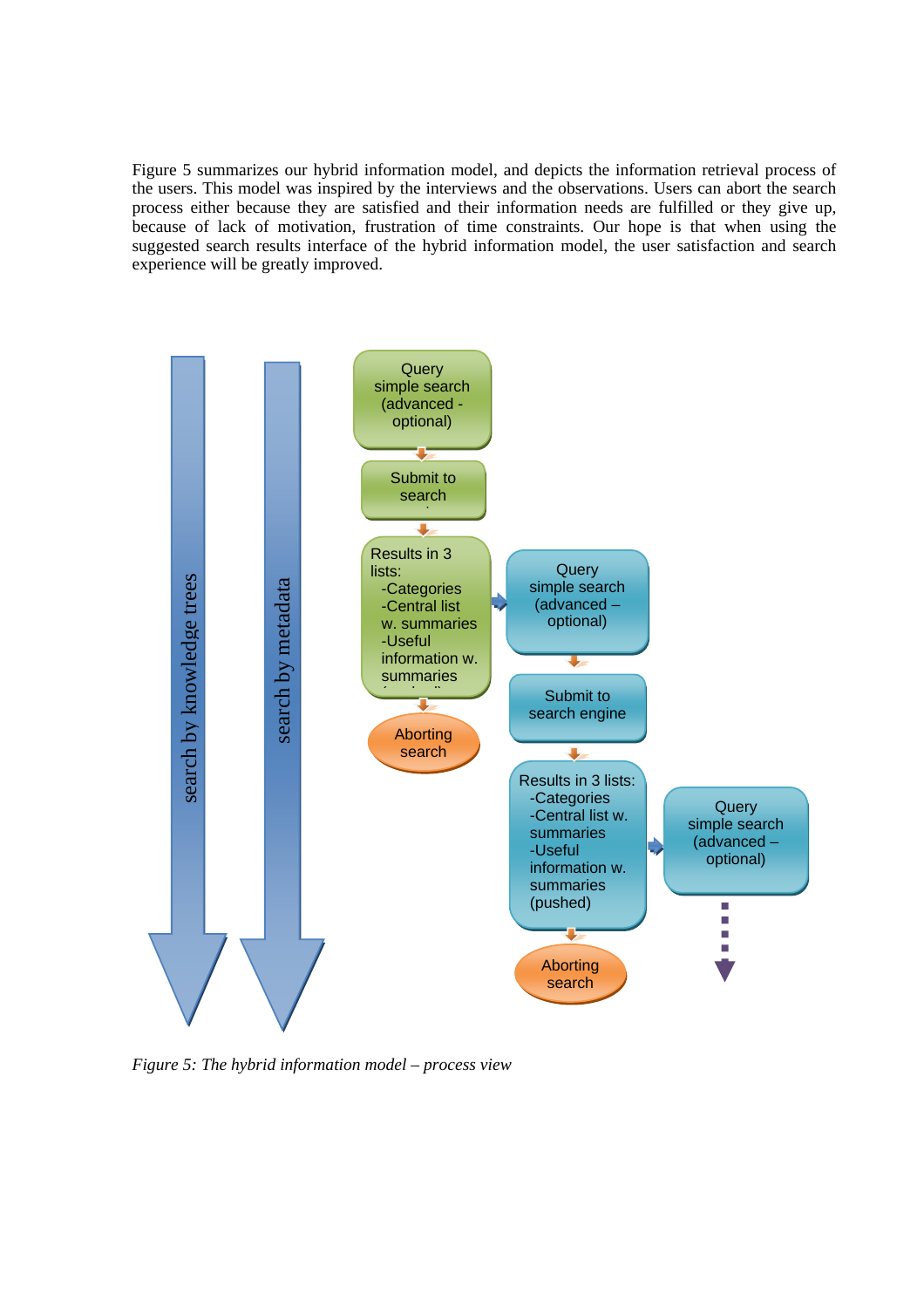Figure 5 summarizes our hybrid information model, and depicts the information retrieval process of the users. This model was inspired by the interviews and the observations. Users can abort the search process either because they are satisfied and their information needs are fulfilled or they give up, because of lack of motivation, frustration of time constraints. Our hope is that when using the suggested search results interface of the hybrid information model, the user satisfaction and search experience will be greatly improved.

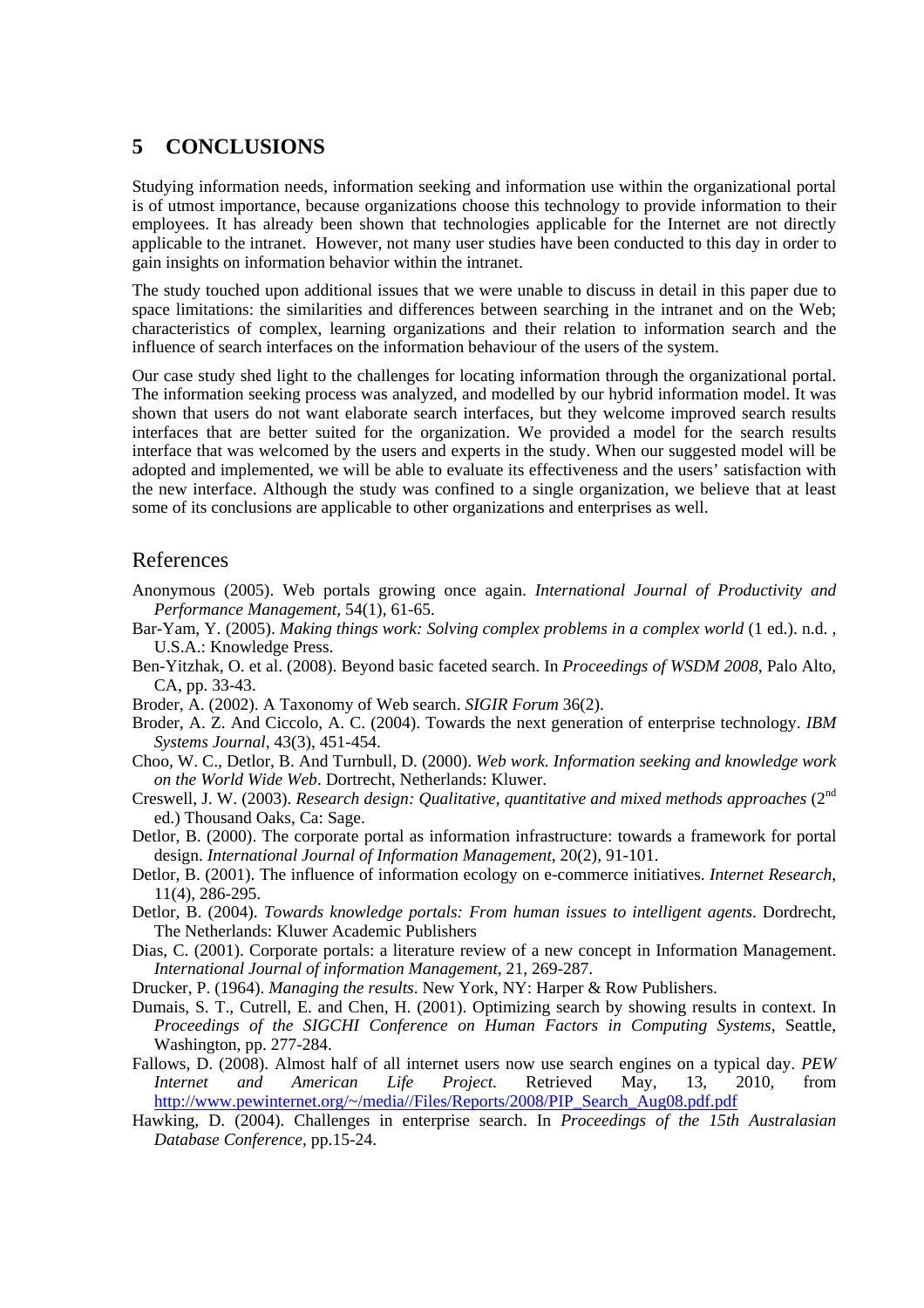### **5 CONCLUSIONS**

Studying information needs, information seeking and information use within the organizational portal is of utmost importance, because organizations choose this technology to provide information to their employees. It has already been shown that technologies applicable for the Internet are not directly applicable to the intranet. However, not many user studies have been conducted to this day in order to gain insights on information behavior within the intranet.

The study touched upon additional issues that we were unable to discuss in detail in this paper due to space limitations: the similarities and differences between searching in the intranet and on the Web; characteristics of complex, learning organizations and their relation to information search and the influence of search interfaces on the information behaviour of the users of the system.

Our case study shed light to the challenges for locating information through the organizational portal. The information seeking process was analyzed, and modelled by our hybrid information model. It was shown that users do not want elaborate search interfaces, but they welcome improved search results interfaces that are better suited for the organization. We provided a model for the search results interface that was welcomed by the users and experts in the study. When our suggested model will be adopted and implemented, we will be able to evaluate its effectiveness and the users' satisfaction with the new interface. Although the study was confined to a single organization, we believe that at least some of its conclusions are applicable to other organizations and enterprises as well.

#### References

- Anonymous (2005). Web portals growing once again. *International Journal of Productivity and Performance Management*, 54(1), 61-65.
- Bar-Yam, Y. (2005). *Making things work: Solving complex problems in a complex world* (1 ed.). n.d. , U.S.A.: Knowledge Press.
- Ben-Yitzhak, O. et al. (2008). Beyond basic faceted search. In *Proceedings of WSDM 2008*, Palo Alto, CA, pp. 33-43.
- Broder, A. (2002). A Taxonomy of Web search. *SIGIR Forum* 36(2).
- Broder, A. Z. And Ciccolo, A. C. (2004). Towards the next generation of enterprise technology. *IBM Systems Journal*, 43(3), 451-454.
- Choo, W. C., Detlor, B. And Turnbull, D. (2000). *Web work. Information seeking and knowledge work on the World Wide Web*. Dortrecht, Netherlands: Kluwer.
- Creswell, J. W. (2003). *Research design: Qualitative, quantitative and mixed methods approaches* (2nd ed.) Thousand Oaks, Ca: Sage.
- Detlor, B. (2000). The corporate portal as information infrastructure: towards a framework for portal design. *International Journal of Information Management*, 20(2), 91-101.
- Detlor, B. (2001). The influence of information ecology on e-commerce initiatives. *Internet Research*, 11(4), 286-295.
- Detlor, B. (2004). *Towards knowledge portals: From human issues to intelligent agents*. Dordrecht, The Netherlands: Kluwer Academic Publishers
- Dias, C. (2001). Corporate portals: a literature review of a new concept in Information Management. *International Journal of information Management*, 21, 269-287.
- Drucker, P. (1964). *Managing the results*. New York, NY: Harper & Row Publishers.
- Dumais, S. T., Cutrell, E. and Chen, H. (2001). Optimizing search by showing results in context. In *Proceedings of the SIGCHI Conference on Human Factors in Computing Systems*, Seattle, Washington, pp. 277-284.
- Fallows, D. (2008). Almost half of all internet users now use search engines on a typical day. *PEW Internet and American Life Project*. Retrieved May, 13, 2010, from http://www.pewinternet.org/~/media//Files/Reports/2008/PIP\_Search\_Aug08.pdf.pdf
- Hawking, D. (2004). Challenges in enterprise search. In *Proceedings of the 15th Australasian Database Conference*, pp.15-24.